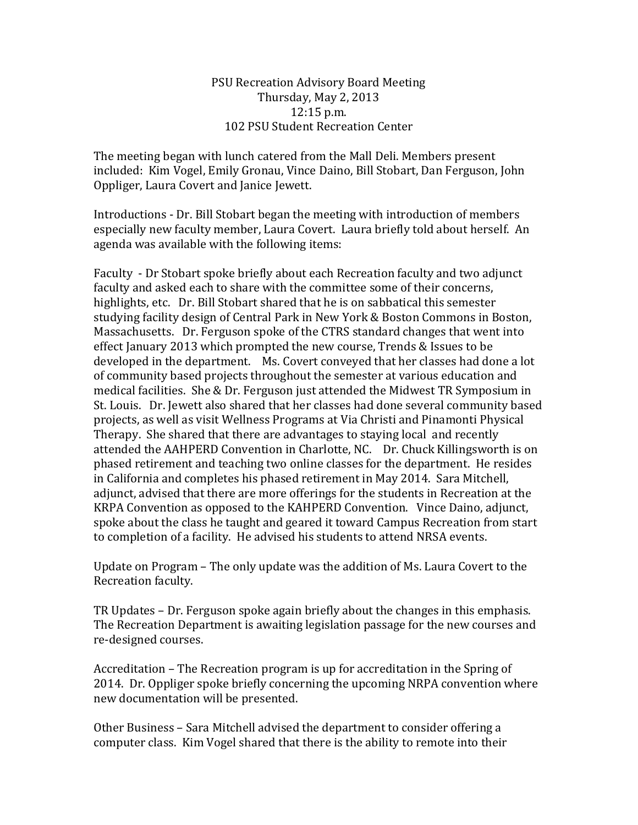## PSU Recreation Advisory Board Meeting Thursday, May 2, 2013 12:15 p.m. 102 PSU Student Recreation Center

The meeting began with lunch catered from the Mall Deli. Members present included: Kim Vogel, Emily Gronau, Vince Daino, Bill Stobart, Dan Ferguson, John Oppliger, Laura Covert and Janice Jewett.

Introductions - Dr. Bill Stobart began the meeting with introduction of members especially new faculty member, Laura Covert. Laura briefly told about herself. An agenda was available with the following items:

Faculty - Dr Stobart spoke briefly about each Recreation faculty and two adjunct faculty and asked each to share with the committee some of their concerns, highlights, etc. Dr. Bill Stobart shared that he is on sabbatical this semester studying facility design of Central Park in New York & Boston Commons in Boston, Massachusetts. Dr. Ferguson spoke of the CTRS standard changes that went into effect January 2013 which prompted the new course, Trends & Issues to be developed in the department. Ms. Covert conveyed that her classes had done a lot of community based projects throughout the semester at various education and medical facilities. She & Dr. Ferguson just attended the Midwest TR Symposium in St. Louis. Dr. Jewett also shared that her classes had done several community based projects, as well as visit Wellness Programs at Via Christi and Pinamonti Physical Therapy. She shared that there are advantages to staying local and recently attended the AAHPERD Convention in Charlotte, NC. Dr. Chuck Killingsworth is on phased retirement and teaching two online classes for the department. He resides in California and completes his phased retirement in May 2014. Sara Mitchell, adjunct, advised that there are more offerings for the students in Recreation at the KRPA Convention as opposed to the KAHPERD Convention. Vince Daino, adjunct, spoke about the class he taught and geared it toward Campus Recreation from start to completion of a facility. He advised his students to attend NRSA events.

Update on Program – The only update was the addition of Ms. Laura Covert to the Recreation faculty.

TR Updates – Dr. Ferguson spoke again briefly about the changes in this emphasis. The Recreation Department is awaiting legislation passage for the new courses and re-designed courses.

Accreditation – The Recreation program is up for accreditation in the Spring of 2014. Dr. Oppliger spoke briefly concerning the upcoming NRPA convention where new documentation will be presented.

Other Business – Sara Mitchell advised the department to consider offering a computer class. Kim Vogel shared that there is the ability to remote into their